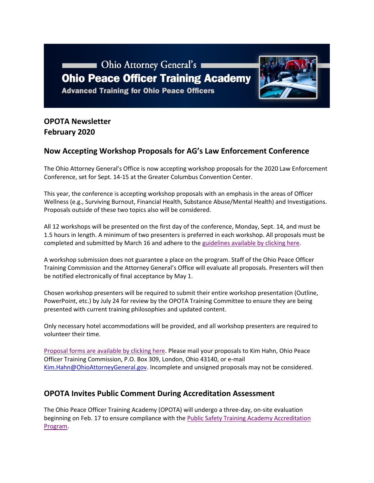



# **OPOTA Newsletter February 2020**

# **Now Accepting Workshop Proposals for AG's Law Enforcement Conference**

The Ohio Attorney General's Office is now accepting workshop proposals for the 2020 Law Enforcement Conference, set for Sept. 14-15 at the Greater Columbus Convention Center.

This year, the conference is accepting workshop proposals with an emphasis in the areas of Officer Wellness (e.g., Surviving Burnout, Financial Health, Substance Abuse/Mental Health) and Investigations. Proposals outside of these two topics also will be considered.

All 12 workshops will be presented on the first day of the conference, Monday, Sept. 14, and must be 1.5 hours in length. A minimum of two presenters is preferred in each workshop. All proposals must be completed and submitted by March 16 and adhere to the [guidelines available by clicking here.](https://www.ohioattorneygeneral.gov/Files/Law-Enforcement/Ohio-Peace-Officer-Training-Academy/OPOTA-news/2020-LEC-Workshop-Proposal-Form.aspx)

A workshop submission does not guarantee a place on the program. Staff of the Ohio Peace Officer Training Commission and the Attorney General's Office will evaluate all proposals. Presenters will then be notified electronically of final acceptance by May 1.

Chosen workshop presenters will be required to submit their entire workshop presentation (Outline, PowerPoint, etc.) by July 24 for review by the OPOTA Training Committee to ensure they are being presented with current training philosophies and updated content.

Only necessary hotel accommodations will be provided, and all workshop presenters are required to volunteer their time.

[Proposal forms are available by clicking here.](https://www.ohioattorneygeneral.gov/Files/Law-Enforcement/Ohio-Peace-Officer-Training-Academy/OPOTA-news/2020-LEC-Workshop-Proposal-Form.aspx) Please mail your proposals to Kim Hahn, Ohio Peace Officer Training Commission, P.O. Box 309, London, Ohio 43140, or e-mail [Kim.Hahn@OhioAttorneyGeneral.gov.](mailto:Kim.Hahn@OhioAttorneyGeneral.gov) Incomplete and unsigned proposals may not be considered.

## **OPOTA Invites Public Comment During Accreditation Assessment**

The Ohio Peace Officer Training Academy (OPOTA) will undergo a three-day, on-site evaluation beginning on Feb. 17 to ensure compliance with the Public Safety Training Academy Accreditation [Program.](http://www.calea.org/training-academy)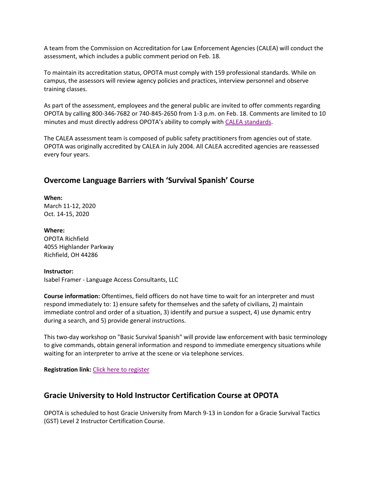A team from the Commission on Accreditation for Law Enforcement Agencies (CALEA) will conduct the assessment, which includes a public comment period on Feb. 18.

To maintain its accreditation status, OPOTA must comply with 159 professional standards. While on campus, the assessors will review agency policies and practices, interview personnel and observe training classes.

As part of the assessment, employees and the general public are invited to offer comments regarding OPOTA by calling 800-346-7682 or 740-845-2650 from 1-3 p.m. on Feb. 18. Comments are limited to 10 minutes and must directly address OPOTA's ability to comply with [CALEA standards.](http://www.calea.org/training-academy/standards-titles)

The CALEA assessment team is composed of public safety practitioners from agencies out of state. OPOTA was originally accredited by CALEA in July 2004. All CALEA accredited agencies are reassessed every four years.

### **Overcome Language Barriers with 'Survival Spanish' Course**

#### **When:**

March 11-12, 2020 Oct. 14-15, 2020

### **Where:**

OPOTA Richfield 4055 Highlander Parkway Richfield, OH 44286

#### **Instructor:**

Isabel Framer - Language Access Consultants, LLC

**Course information:** Oftentimes, field officers do not have time to wait for an interpreter and must respond immediately to: 1) ensure safety for themselves and the safety of civilians, 2) maintain immediate control and order of a situation, 3) identify and pursue a suspect, 4) use dynamic entry during a search, and 5) provide general instructions.

This two-day workshop on "Basic Survival Spanish" will provide law enforcement with basic terminology to give commands, obtain general information and respond to immediate emergency situations while waiting for an interpreter to arrive at the scene or via telephone services.

**Registration link:** [Click here to register](https://www.ohioattorneygeneral.gov/Law-Enforcement/Ohio-Peace-Officer-Training-Academy/Course-Catalog/Course-Search?searchtext=Survival+Spanish&searchmode=allwords)

## **Gracie University to Hold Instructor Certification Course at OPOTA**

OPOTA is scheduled to host Gracie University from March 9-13 in London for a Gracie Survival Tactics (GST) Level 2 Instructor Certification Course.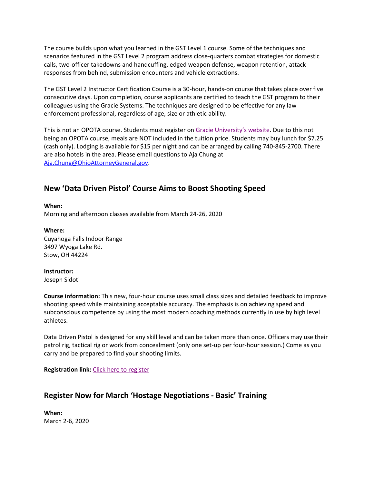The course builds upon what you learned in the GST Level 1 course. Some of the techniques and scenarios featured in the GST Level 2 program address close-quarters combat strategies for domestic calls, two-officer takedowns and handcuffing, edged weapon defense, weapon retention, attack responses from behind, submission encounters and vehicle extractions.

The GST Level 2 Instructor Certification Course is a 30-hour, hands-on course that takes place over five consecutive days. Upon completion, course applicants are certified to teach the GST program to their colleagues using the Gracie Systems. The techniques are designed to be effective for any law enforcement professional, regardless of age, size or athletic ability.

This is not an OPOTA course. Students must register on [Gracie University](https://www.gracieuniversity.com/Pages/Public/InformationPages/GracieSurvivalTactics)'s website. Due to this not being an OPOTA course, meals are NOT included in the tuition price. Students may buy lunch for \$7.25 (cash only). Lodging is available for \$15 per night and can be arranged by calling 740-845-2700. There are also hotels in the area. Please email questions to Aja Chung at [Aja.Chung@OhioAttorneyGeneral.gov.](mailto:aja.chung@ohioattorneygeneral.gov?subject=Gracie%20Survival%20Tactics%20Level%202)

# **New 'Data Driven Pistol' Course Aims to Boost Shooting Speed**

**When:**

Morning and afternoon classes available from March 24-26, 2020

### **Where:**

Cuyahoga Falls Indoor Range 3497 Wyoga Lake Rd. Stow, OH 44224

### **Instructor:**

Joseph Sidoti

**Course information:** This new, four-hour course uses small class sizes and detailed feedback to improve shooting speed while maintaining acceptable accuracy. The emphasis is on achieving speed and subconscious competence by using the most modern coaching methods currently in use by high level athletes.

Data Driven Pistol is designed for any skill level and can be taken more than once. Officers may use their patrol rig, tactical rig or work from concealment (only one set-up per four-hour session.) Come as you carry and be prepared to find your shooting limits.

**Registration link:** [Click here to register](https://www.ohioattorneygeneral.gov/Law-Enforcement/Ohio-Peace-Officer-Training-Academy/Course-Catalog/Course-Categories/Firearms-Courses#OPOTA1001)

## **Register Now for March 'Hostage Negotiations - Basic' Training**

**When:** March 2-6, 2020